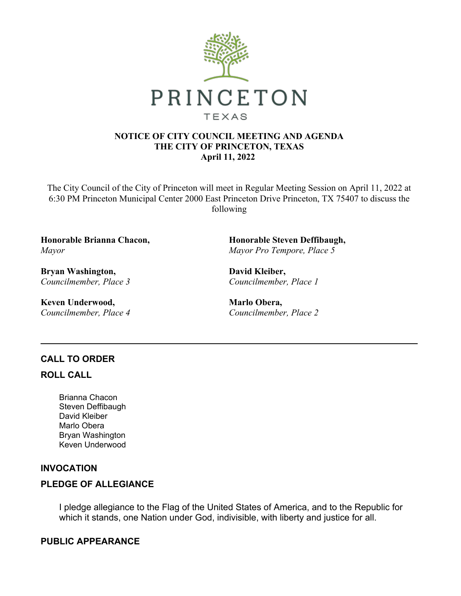

#### **NOTICE OF CITY COUNCIL MEETING AND AGENDA THE CITY OF PRINCETON, TEXAS April 11, 2022**

The City Council of the City of Princeton will meet in Regular Meeting Session on April 11, 2022 at 6:30 PM Princeton Municipal Center 2000 East Princeton Drive Princeton, TX 75407 to discuss the following

**Honorable Brianna Chacon,** *Mayor*

**Bryan Washington,** *Councilmember, Place 3*

**Keven Underwood,** *Councilmember, Place 4* **Honorable Steven Deffibaugh,** *Mayor Pro Tempore, Place 5*

**David Kleiber,** *Councilmember, Place 1*

**Marlo Obera,** *Councilmember, Place 2*

# **CALL TO ORDER**

#### **ROLL CALL**

Brianna Chacon Steven Deffibaugh David Kleiber Marlo Obera Bryan Washington Keven Underwood

# **INVOCATION**

# **PLEDGE OF ALLEGIANCE**

I pledge allegiance to the Flag of the United States of America, and to the Republic for which it stands, one Nation under God, indivisible, with liberty and justice for all.

# **PUBLIC APPEARANCE**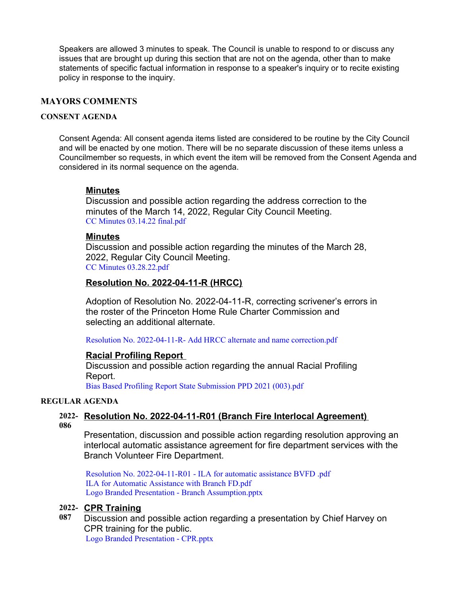Speakers are allowed 3 minutes to speak. The Council is unable to respond to or discuss any issues that are brought up during this section that are not on the agenda, other than to make statements of specific factual information in response to a speaker's inquiry or to recite existing policy in response to the inquiry.

#### **MAYORS COMMENTS**

#### **CONSENT AGENDA**

Consent Agenda: All consent agenda items listed are considered to be routine by the City Council and will be enacted by one motion. There will be no separate discussion of these items unless a Councilmember so requests, in which event the item will be removed from the Consent Agenda and considered in its normal sequence on the agenda.

#### **Minutes**

Discussion and possible action regarding the address correction to the minutes of the March 14, 2022, Regular City Council Meeting. CC Minutes [03.14.22](https://legistarweb-production.s3.amazonaws.com/uploads/attachment/pdf/1313625/CC_Minutes_03.14.22_final.pdf) final.pdf

#### **Minutes**

Discussion and possible action regarding the minutes of the March 28, 2022, Regular City Council Meeting. CC Minutes [03.28.22.pdf](https://legistarweb-production.s3.amazonaws.com/uploads/attachment/pdf/1313614/CC_Minutes_03.28.22.pdf)

#### **Resolution No. 2022-04-11-R (HRCC)**

Adoption of Resolution No. 2022-04-11-R, correcting scrivener's errors in the roster of the Princeton Home Rule Charter Commission and selecting an additional alternate.

Resolution No. [2022-04-11-R-](https://legistarweb-production.s3.amazonaws.com/uploads/attachment/pdf/1313610/Resolution_No._2022-04-11-R-_Add_HRCC_alternate_and_name_correction.pdf) Add HRCC alternate and name correction.pdf

#### **Racial Profiling Report**

Discussion and possible action regarding the annual Racial Profiling Report.

Bias Based Profiling Report State [Submission](https://legistarweb-production.s3.amazonaws.com/uploads/attachment/pdf/1315632/Bias_Based_Profiling_Report_State_Submission_PPD_2021__003_.pdf) PPD 2021 (003).pdf

#### **REGULAR AGENDA**

#### **2022- Resolution No. 2022-04-11-R01 (Branch Fire Interlocal Agreement) 086**

Presentation, discussion and possible action regarding resolution approving an interlocal automatic assistance agreement for fire department services with the Branch Volunteer Fire Department.

Resolution No. [2022-04-11-R01](https://legistarweb-production.s3.amazonaws.com/uploads/attachment/pdf/1313764/Resolution_No._2022-04-11-R01_-_ILA_for_automatic_assistance_BVFD_.pdf) - ILA for automatic assistance BVFD .pdf ILA for Automatic [Assistance](https://legistarweb-production.s3.amazonaws.com/uploads/attachment/pdf/1319148/ILA_for_Automatic_Assistance_with_Branch_FD.pdf) with Branch FD.pdf Logo Branded Presentation - Branch [Assumption.pptx](https://legistarweb-production.s3.amazonaws.com/uploads/attachment/pdf/1322955/Logo_Branded_Presentation_-_Branch_Assumption.pdf)

#### **2022- CPR Training**

**087** Discussion and possible action regarding a presentation by Chief Harvey on CPR training for the public. Logo Branded [Presentation](https://legistarweb-production.s3.amazonaws.com/uploads/attachment/pdf/1324070/Logo_Branded_Presentation_-_CPR.pdf) - CPR.pptx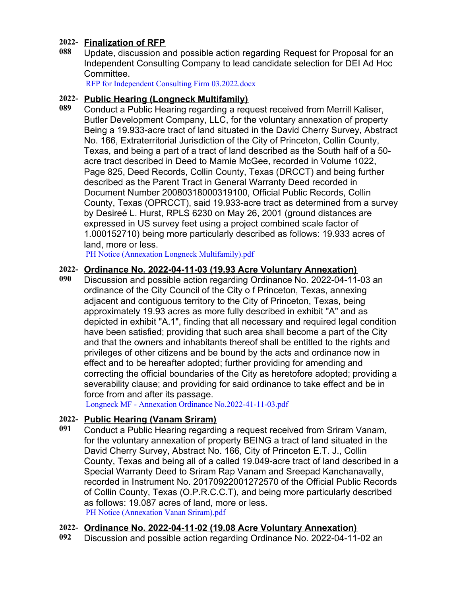# **2022- Finalization of RFP**

**088** Update, discussion and possible action regarding Request for Proposal for an Independent Consulting Company to lead candidate selection for DEI Ad Hoc Committee.

RFP for Independent Consulting Firm [03.2022.docx](https://legistarweb-production.s3.amazonaws.com/uploads/attachment/pdf/1322953/RFP_for_Independent_Consulting_Firm_03.2022.pdf)

# **2022- Public Hearing (Longneck Multifamily)**

**089** Conduct a Public Hearing regarding a request received from Merrill Kaliser, Butler Development Company, LLC, for the voluntary annexation of property Being a 19.933-acre tract of land situated in the David Cherry Survey, Abstract No. 166, Extraterritorial Jurisdiction of the City of Princeton, Collin County, Texas, and being a part of a tract of land described as the South half of a 50 acre tract described in Deed to Mamie McGee, recorded in Volume 1022, Page 825, Deed Records, Collin County, Texas (DRCCT) and being further described as the Parent Tract in General Warranty Deed recorded in Document Number 20080318000319100, Official Public Records, Collin County, Texas (OPRCCT), said 19.933-acre tract as determined from a survey by Desireé L. Hurst, RPLS 6230 on May 26, 2001 (ground distances are expressed in US survey feet using a project combined scale factor of 1.000152710) being more particularly described as follows: 19.933 acres of land, more or less.

PH Notice (Annexation Longneck [Multifamily\).pdf](https://legistarweb-production.s3.amazonaws.com/uploads/attachment/pdf/1313676/PH_Notice__Annexation_Longneck_Multifamily_.pdf)

# **2022- Ordinance No. 2022-04-11-03 (19.93 Acre Voluntary Annexation)**

**090** Discussion and possible action regarding Ordinance No. 2022-04-11-03 an ordinance of the City Council of the City o f Princeton, Texas, annexing adjacent and contiguous territory to the City of Princeton, Texas, being approximately 19.93 acres as more fully described in exhibit "A" and as depicted in exhibit "A.1", finding that all necessary and required legal condition have been satisfied; providing that such area shall become a part of the City and that the owners and inhabitants thereof shall be entitled to the rights and privileges of other citizens and be bound by the acts and ordinance now in effect and to be hereafter adopted; further providing for amending and correcting the official boundaries of the City as heretofore adopted; providing a severability clause; and providing for said ordinance to take effect and be in force from and after its passage.

Longneck MF - Annexation Ordinance [No.2022-41-11-03.pdf](https://legistarweb-production.s3.amazonaws.com/uploads/attachment/pdf/1322413/Longneck_MF_-_Annexation_Ordinance_No.2022-41-11-03.pdf)

# **2022- Public Hearing (Vanam Sriram)**

**091** Conduct a Public Hearing regarding a request received from Sriram Vanam, for the voluntary annexation of property BEING a tract of land situated in the David Cherry Survey, Abstract No. 166, City of Princeton E.T. J., Collin County, Texas and being all of a called 19.049-acre tract of land described in a Special Warranty Deed to Sriram Rap Vanam and Sreepad Kanchanavally, recorded in Instrument No. 20170922001272570 of the Official Public Records of Collin County, Texas (O.P.R.C.C.T), and being more particularly described as follows: 19.087 acres of land, more or less. PH Notice [\(Annexation](https://legistarweb-production.s3.amazonaws.com/uploads/attachment/pdf/1313694/PH_Notice__Annexation_Vanan_Sriram_.pdf) Vanan Sriram).pdf

# **2022- Ordinance No. 2022-04-11-02 (19.08 Acre Voluntary Annexation)**

**092** Discussion and possible action regarding Ordinance No. 2022-04-11-02 an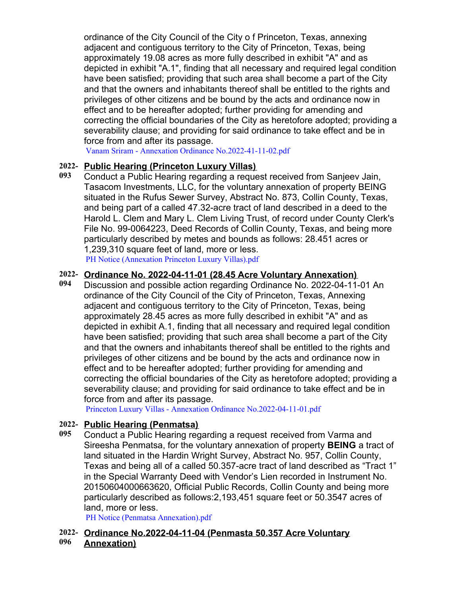ordinance of the City Council of the City o f Princeton, Texas, annexing adjacent and contiguous territory to the City of Princeton, Texas, being approximately 19.08 acres as more fully described in exhibit "A" and as depicted in exhibit "A.1", finding that all necessary and required legal condition have been satisfied; providing that such area shall become a part of the City and that the owners and inhabitants thereof shall be entitled to the rights and privileges of other citizens and be bound by the acts and ordinance now in effect and to be hereafter adopted; further providing for amending and correcting the official boundaries of the City as heretofore adopted; providing a severability clause; and providing for said ordinance to take effect and be in force from and after its passage.

Vanam Sriram - Annexation Ordinance [No.2022-41-11-02.pdf](https://legistarweb-production.s3.amazonaws.com/uploads/attachment/pdf/1322411/Vanam_Sriram_-_Annexation_Ordinance_No.2022-41-11-02.pdf)

# **2022- Public Hearing (Princeton Luxury Villas)**

**093** Conduct a Public Hearing regarding a request received from Sanjeev Jain, Tasacom Investments, LLC, for the voluntary annexation of property BEING situated in the Rufus Sewer Survey, Abstract No. 873, Collin County, Texas, and being part of a called 47.32-acre tract of land described in a deed to the Harold L. Clem and Mary L. Clem Living Trust, of record under County Clerk's File No. 99-0064223, Deed Records of Collin County, Texas, and being more particularly described by metes and bounds as follows: 28.451 acres or 1,239,310 square feet of land, more or less. PH Notice [\(Annexation](https://legistarweb-production.s3.amazonaws.com/uploads/attachment/pdf/1313711/PH_Notice__Annexation_Princeton_Luxury_Villas_.pdf) Princeton Luxury Villas).pdf

# **2022- Ordinance No. 2022-04-11-01 (28.45 Acre Voluntary Annexation)**

**094** Discussion and possible action regarding Ordinance No. 2022-04-11-01 An ordinance of the City Council of the City of Princeton, Texas, Annexing adjacent and contiguous territory to the City of Princeton, Texas, being approximately 28.45 acres as more fully described in exhibit "A" and as depicted in exhibit A.1, finding that all necessary and required legal condition have been satisfied; providing that such area shall become a part of the City and that the owners and inhabitants thereof shall be entitled to the rights and privileges of other citizens and be bound by the acts and ordinance now in effect and to be hereafter adopted; further providing for amending and correcting the official boundaries of the City as heretofore adopted; providing a severability clause; and providing for said ordinance to take effect and be in force from and after its passage.

Princeton Luxury Villas - Annexation Ordinance [No.2022-04-11-01.pdf](https://legistarweb-production.s3.amazonaws.com/uploads/attachment/pdf/1322406/Princeton_Luxury_Villas_-_Annexation_Ordinance_No.2022-04-11-01.pdf)

# **2022- Public Hearing (Penmatsa)**

**095** Conduct a Public Hearing regarding a request received from Varma and Sireesha Penmatsa, for the voluntary annexation of property **BEING** a tract of land situated in the Hardin Wright Survey, Abstract No. 957, Collin County, Texas and being all of a called 50.357-acre tract of land described as "Tract 1" in the Special Warranty Deed with Vendor's Lien recorded in Instrument No. 20150604000663620, Official Public Records, Collin County and being more particularly described as follows:2,193,451 square feet or 50.3547 acres of land, more or less.

PH Notice (Penmatsa [Annexation\).pdf](https://legistarweb-production.s3.amazonaws.com/uploads/attachment/pdf/1313721/PH_Notice__Penmatsa_Annexation_.pdf)

#### **2022- Ordinance No.2022-04-11-04 (Penmasta 50.357 Acre Voluntary 096 Annexation)**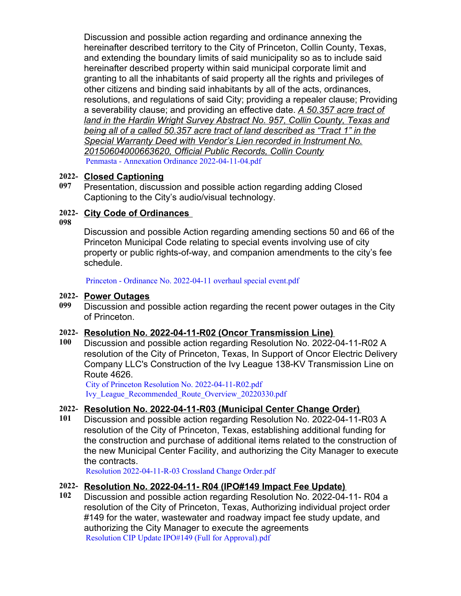Discussion and possible action regarding and ordinance annexing the hereinafter described territory to the City of Princeton, Collin County, Texas, and extending the boundary limits of said municipality so as to include said hereinafter described property within said municipal corporate limit and granting to all the inhabitants of said property all the rights and privileges of other citizens and binding said inhabitants by all of the acts, ordinances, resolutions, and regulations of said City; providing a repealer clause; Providing a severability clause; and providing an effective date. *A 50.357 acre tract of land in the Hardin Wright Survey Abstract No. 957, Collin County, Texas and being all of a called 50.357 acre tract of land described as "Tract 1" in the Special Warranty Deed with Vendor's Lien recorded in Instrument No. 20150604000663620, Official Public Records, Collin County* Penmasta - Annexation Ordinance [2022-04-11-04.pdf](https://legistarweb-production.s3.amazonaws.com/uploads/attachment/pdf/1321915/Penmasta_-_Annexation_Ordinance_2022-04-11-04.pdf)

# **2022- Closed Captioning**

**097** Presentation, discussion and possible action regarding adding Closed Captioning to the City's audio/visual technology.

# **2022- City Code of Ordinances**

**098**

Discussion and possible Action regarding amending sections 50 and 66 of the Princeton Municipal Code relating to special events involving use of city property or public rights-of-way, and companion amendments to the city's fee schedule.

Princeton - Ordinance No. [2022-04-11](https://legistarweb-production.s3.amazonaws.com/uploads/attachment/pdf/1321664/Princeton_-_Ordinance_No._2022-04-11_overhaul_special_event.pdf) overhaul special event.pdf

#### **2022- Power Outages**

**099** Discussion and possible action regarding the recent power outages in the City of Princeton.

# **2022- Resolution No. 2022-04-11-R02 (Oncor Transmission Line)**

**100** Discussion and possible action regarding Resolution No. 2022-04-11-R02 A resolution of the City of Princeton, Texas, In Support of Oncor Electric Delivery Company LLC's Construction of the Ivy League 138-KV Transmission Line on Route 4626.

City of Princeton Resolution No. [2022-04-11-R02.pdf](https://legistarweb-production.s3.amazonaws.com/uploads/attachment/pdf/1319942/City_of_Princeton_Resolution_No._2022-04-11-R02.pdf) [Ivy\\_League\\_Recommended\\_Route\\_Overview\\_20220330.pdf](https://legistarweb-production.s3.amazonaws.com/uploads/attachment/pdf/1319943/Ivy_League_Recommended_Route_Overview_20220330.pdf)

# **2022- Resolution No. 2022-04-11-R03 (Municipal Center Change Order)**

**101** Discussion and possible action regarding Resolution No. 2022-04-11-R03 A resolution of the City of Princeton, Texas, establishing additional funding for the construction and purchase of additional items related to the construction of the new Municipal Center Facility, and authorizing the City Manager to execute the contracts.

Resolution [2022-04-11-R-03](https://legistarweb-production.s3.amazonaws.com/uploads/attachment/pdf/1323085/Resolution_2022-04-11-R-03_Crossland_Change_Order.pdf) Crossland Change Order.pdf

# **2022- Resolution No. 2022-04-11- R04 (IPO#149 Impact Fee Update)**

**102** Discussion and possible action regarding Resolution No. 2022-04-11- R04 a resolution of the City of Princeton, Texas, Authorizing individual project order #149 for the water, wastewater and roadway impact fee study update, and authorizing the City Manager to execute the agreements Resolution CIP Update IPO#149 (Full for [Approval\).pdf](https://legistarweb-production.s3.amazonaws.com/uploads/attachment/pdf/1321500/Resolution_CIP_Update_IPO_149__Full_for_Approval_.pdf)